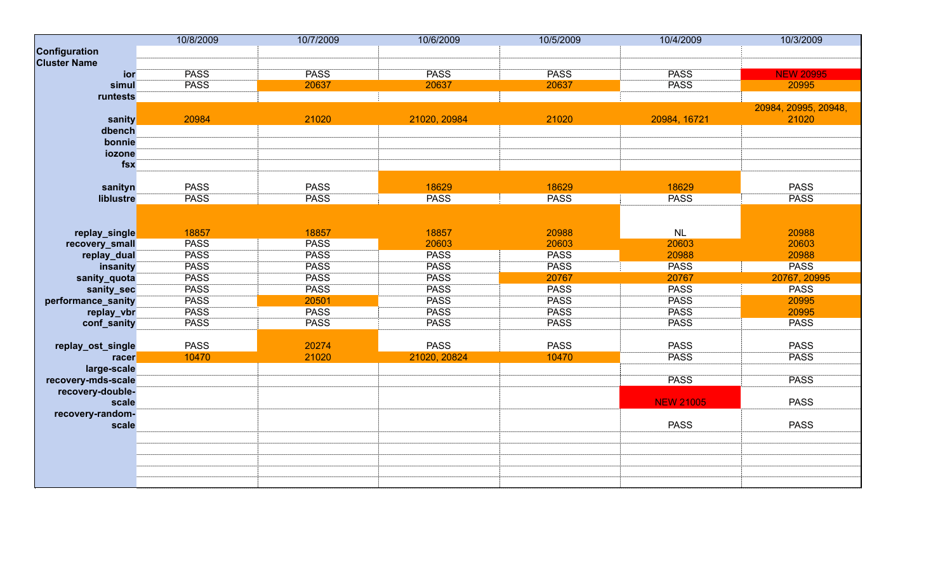|                     | 10/8/2009   | 10/7/2009   | 10/6/2009    | 10/5/2009   | 10/4/2009        | 10/3/2009            |
|---------------------|-------------|-------------|--------------|-------------|------------------|----------------------|
| Configuration       |             |             |              |             |                  |                      |
| <b>Cluster Name</b> |             |             |              |             |                  |                      |
| ior                 | <b>PASS</b> | <b>PASS</b> | <b>PASS</b>  | <b>PASS</b> | <b>PASS</b>      | <b>NEW 20995</b>     |
| simul               | <b>PASS</b> | 20637       | 20637        | 20637       | <b>PASS</b>      | 20995                |
| runtests            |             |             |              |             |                  |                      |
|                     |             |             |              |             |                  | 20984, 20995, 20948, |
| sanity              | 20984       | 21020       | 21020, 20984 | 21020       | 20984, 16721     | 21020                |
| dbench              |             |             |              |             |                  |                      |
| bonnie              |             |             |              |             |                  |                      |
| iozone              |             |             |              |             |                  |                      |
| fsx                 |             |             |              |             |                  |                      |
|                     |             |             |              |             |                  |                      |
| sanityn             | <b>PASS</b> | <b>PASS</b> | 18629        | 18629       | 18629            | <b>PASS</b>          |
| liblustre           | <b>PASS</b> | <b>PASS</b> | <b>PASS</b>  | <b>PASS</b> | <b>PASS</b>      | <b>PASS</b>          |
|                     |             |             |              |             |                  |                      |
|                     |             |             |              |             |                  |                      |
| replay_single       | 18857       | 18857       | 18857        | 20988       | NL               | 20988                |
| recovery_small      | <b>PASS</b> | <b>PASS</b> | 20603        | 20603       | 20603            | 20603                |
| replay_dual         | <b>PASS</b> | <b>PASS</b> | <b>PASS</b>  | <b>PASS</b> | 20988            | 20988                |
| insanity            | <b>PASS</b> | <b>PASS</b> | <b>PASS</b>  | <b>PASS</b> | <b>PASS</b>      | <b>PASS</b>          |
| sanity_quota        | <b>PASS</b> | <b>PASS</b> | <b>PASS</b>  | 20767       | 20767            | 20767, 20995         |
| sanity_sec          | <b>PASS</b> | <b>PASS</b> | <b>PASS</b>  | <b>PASS</b> | <b>PASS</b>      | <b>PASS</b>          |
| performance_sanity  | <b>PASS</b> | 20501       | <b>PASS</b>  | <b>PASS</b> | <b>PASS</b>      | 20995                |
| replay_vbr          | <b>PASS</b> | <b>PASS</b> | <b>PASS</b>  | <b>PASS</b> | <b>PASS</b>      | 20995                |
| conf_sanity         | <b>PASS</b> | <b>PASS</b> | <b>PASS</b>  | <b>PASS</b> | <b>PASS</b>      | <b>PASS</b>          |
|                     |             |             |              |             |                  |                      |
| replay_ost_single   | <b>PASS</b> | 20274       | <b>PASS</b>  | <b>PASS</b> | <b>PASS</b>      | <b>PASS</b>          |
| racer               | 10470       | 21020       | 21020, 20824 | 10470       | <b>PASS</b>      | <b>PASS</b>          |
| large-scale         |             |             |              |             |                  |                      |
| recovery-mds-scale  |             |             |              |             | <b>PASS</b>      | <b>PASS</b>          |
| recovery-double-    |             |             |              |             |                  |                      |
| scale               |             |             |              |             | <b>NEW 21005</b> | <b>PASS</b>          |
| recovery-random-    |             |             |              |             |                  |                      |
| scale               |             |             |              |             | <b>PASS</b>      | <b>PASS</b>          |
|                     |             |             |              |             |                  |                      |
|                     |             |             |              |             |                  |                      |
|                     |             |             |              |             |                  |                      |
|                     |             |             |              |             |                  |                      |
|                     |             |             |              |             |                  |                      |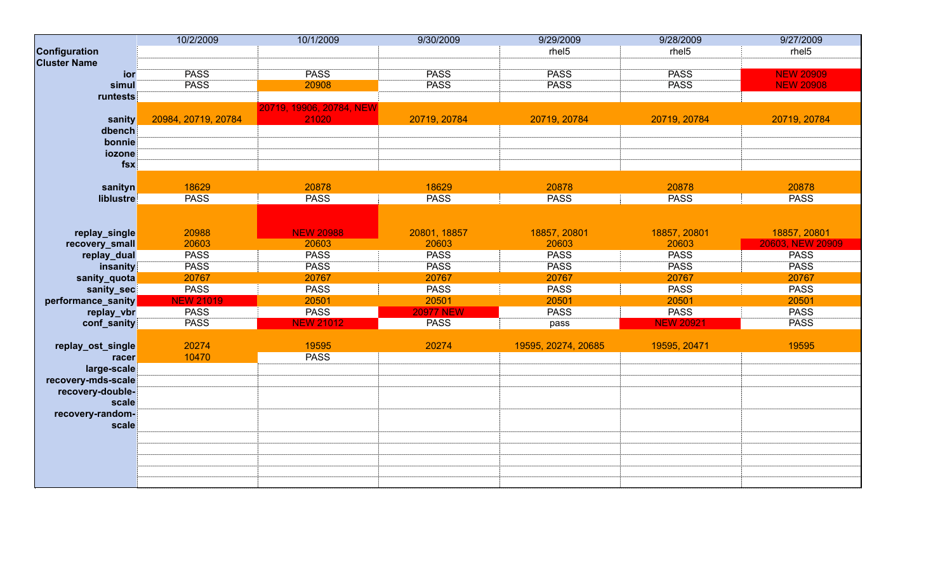|                     | 10/2/2009           | 10/1/2009                | 9/30/2009        | 9/29/2009           | 9/28/2009         | 9/27/2009         |
|---------------------|---------------------|--------------------------|------------------|---------------------|-------------------|-------------------|
| Configuration       |                     |                          |                  | rhel <sub>5</sub>   | rhel <sub>5</sub> | rhel <sub>5</sub> |
| <b>Cluster Name</b> |                     |                          |                  |                     |                   |                   |
| ior                 | <b>PASS</b>         | <b>PASS</b>              | <b>PASS</b>      | <b>PASS</b>         | <b>PASS</b>       | <b>NEW 20909</b>  |
| simul               | <b>PASS</b>         | 20908                    | <b>PASS</b>      | <b>PASS</b>         | <b>PASS</b>       | <b>NEW 20908</b>  |
| runtests            |                     |                          |                  |                     |                   |                   |
|                     |                     | 20719, 19906, 20784, NEW |                  |                     |                   |                   |
| sanity              | 20984, 20719, 20784 | 21020                    | 20719, 20784     | 20719, 20784        | 20719, 20784      | 20719, 20784      |
| dbench              |                     |                          |                  |                     |                   |                   |
| bonnie              |                     |                          |                  |                     |                   |                   |
| iozone              |                     |                          |                  |                     |                   |                   |
| $f$ sx              |                     |                          |                  |                     |                   |                   |
|                     |                     |                          |                  |                     |                   |                   |
| sanityn             | 18629               | 20878                    | 18629            | 20878               | 20878             | 20878             |
| liblustre           | <b>PASS</b>         | <b>PASS</b>              | <b>PASS</b>      | <b>PASS</b>         | <b>PASS</b>       | <b>PASS</b>       |
|                     |                     |                          |                  |                     |                   |                   |
|                     |                     |                          |                  |                     |                   |                   |
| replay_single       | 20988               | <b>NEW 20988</b>         | 20801, 18857     | 18857, 20801        | 18857, 20801      | 18857, 20801      |
| recovery_small      | 20603               | 20603                    | 20603            | 20603               | 20603             | 20603, NEW 20909  |
| replay_dual         | <b>PASS</b>         | <b>PASS</b>              | <b>PASS</b>      | <b>PASS</b>         | <b>PASS</b>       | <b>PASS</b>       |
| insanity            | <b>PASS</b>         | <b>PASS</b>              | <b>PASS</b>      | <b>PASS</b>         | <b>PASS</b>       | <b>PASS</b>       |
| sanity_quota        | 20767               | 20767                    | 20767            | 20767               | 20767             | 20767             |
| sanity_sec          | <b>PASS</b>         | <b>PASS</b>              | <b>PASS</b>      | <b>PASS</b>         | <b>PASS</b>       | <b>PASS</b>       |
| performance_sanity  | <b>NEW 21019</b>    | 20501                    | 20501            | 20501               | 20501             | 20501             |
| replay_vbr          | <b>PASS</b>         | <b>PASS</b>              | <b>20977 NEW</b> | <b>PASS</b>         | <b>PASS</b>       | <b>PASS</b>       |
| conf_sanity         | <b>PASS</b>         | <b>NEW 21012</b>         | <b>PASS</b>      | pass                | <b>NEW 20921</b>  | <b>PASS</b>       |
|                     |                     |                          |                  |                     |                   |                   |
| replay_ost_single   | 20274               | 19595                    | 20274            | 19595, 20274, 20685 | 19595, 20471      | 19595             |
| racer               | 10470               | <b>PASS</b>              |                  |                     |                   |                   |
| large-scale         |                     |                          |                  |                     |                   |                   |
| recovery-mds-scale  |                     |                          |                  |                     |                   |                   |
| recovery-double-    |                     |                          |                  |                     |                   |                   |
| scale               |                     |                          |                  |                     |                   |                   |
| recovery-random-    |                     |                          |                  |                     |                   |                   |
| scale               |                     |                          |                  |                     |                   |                   |
|                     |                     |                          |                  |                     |                   |                   |
|                     |                     |                          |                  |                     |                   |                   |
|                     |                     |                          |                  |                     |                   |                   |
|                     |                     |                          |                  |                     |                   |                   |
|                     |                     |                          |                  |                     |                   |                   |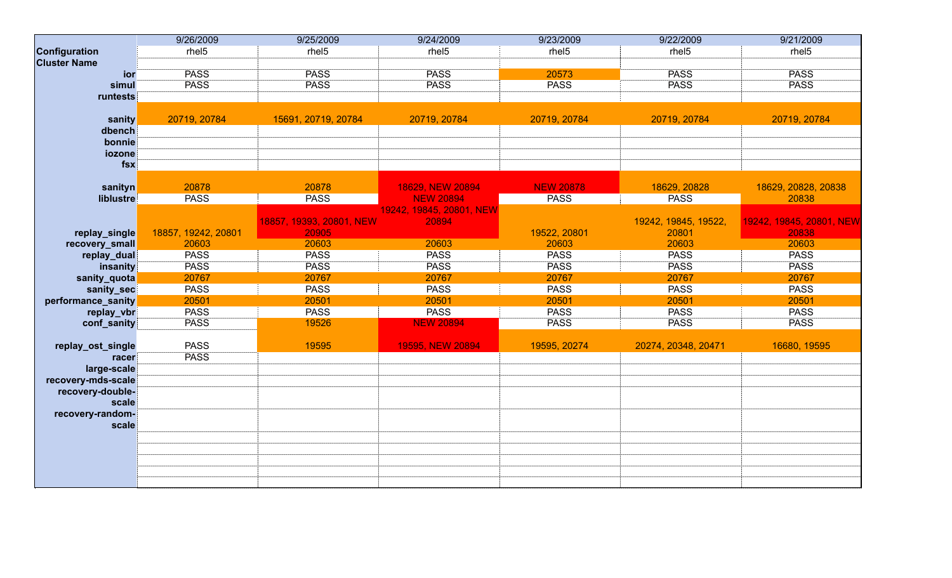|                     | 9/26/2009           | 9/25/2009                | 9/24/2009                | 9/23/2009         | 9/22/2009            | 9/21/2009                |
|---------------------|---------------------|--------------------------|--------------------------|-------------------|----------------------|--------------------------|
| Configuration       | rhel <sub>5</sub>   | rhel <sub>5</sub>        | rhel <sub>5</sub>        | rhel <sub>5</sub> | rhel <sub>5</sub>    | rhel <sub>5</sub>        |
| <b>Cluster Name</b> |                     |                          |                          |                   |                      |                          |
| ior                 | <b>PASS</b>         | <b>PASS</b>              | <b>PASS</b>              | 20573             | <b>PASS</b>          | <b>PASS</b>              |
| simul               | <b>PASS</b>         | <b>PASS</b>              | <b>PASS</b>              | <b>PASS</b>       | <b>PASS</b>          | <b>PASS</b>              |
| runtests            |                     |                          |                          |                   |                      |                          |
|                     |                     |                          |                          |                   |                      |                          |
| sanity              | 20719, 20784        | 15691, 20719, 20784      | 20719, 20784             | 20719, 20784      | 20719, 20784         | 20719, 20784             |
| dbench              |                     |                          |                          |                   |                      |                          |
| bonnie              |                     |                          |                          |                   |                      |                          |
| iozone              |                     |                          |                          |                   |                      |                          |
| $f$ sx              |                     |                          |                          |                   |                      |                          |
|                     |                     |                          |                          |                   |                      |                          |
| sanityn             | 20878               | 20878                    | 18629, NEW 20894         | <b>NEW 20878</b>  | 18629, 20828         | 18629, 20828, 20838      |
| liblustre           | <b>PASS</b>         | <b>PASS</b>              | <b>NEW 20894</b>         | <b>PASS</b>       | <b>PASS</b>          | 20838                    |
|                     |                     |                          | 19242, 19845, 20801, NEW |                   |                      |                          |
|                     |                     | 18857, 19393, 20801, NEW | 20894                    |                   | 19242, 19845, 19522, | 19242, 19845, 20801, NEW |
| replay_single       | 18857, 19242, 20801 | 20905                    |                          | 19522, 20801      | 20801                | 20838                    |
| recovery_small      | 20603               | 20603                    | 20603                    | 20603             | 20603                | 20603                    |
| replay_dual         | <b>PASS</b>         | <b>PASS</b>              | <b>PASS</b>              | <b>PASS</b>       | <b>PASS</b>          | <b>PASS</b>              |
| insanity            | <b>PASS</b>         | <b>PASS</b>              | <b>PASS</b>              | <b>PASS</b>       | <b>PASS</b>          | <b>PASS</b>              |
| sanity_quota        | 20767               | 20767                    | 20767                    | 20767             | 20767                | 20767                    |
| sanity_sec          | <b>PASS</b>         | <b>PASS</b>              | <b>PASS</b>              | <b>PASS</b>       | <b>PASS</b>          | <b>PASS</b>              |
| performance_sanity  | 20501               | 20501                    | 20501                    | 20501             | 20501                | 20501                    |
| replay_vbr          | <b>PASS</b>         | <b>PASS</b>              | <b>PASS</b>              | <b>PASS</b>       | <b>PASS</b>          | <b>PASS</b>              |
| conf_sanity         | <b>PASS</b>         | 19526                    | <b>NEW 20894</b>         | <b>PASS</b>       | <b>PASS</b>          | <b>PASS</b>              |
|                     |                     |                          |                          |                   |                      |                          |
| replay_ost_single   | <b>PASS</b>         | 19595                    | 19595, NEW 20894         | 19595, 20274      | 20274, 20348, 20471  | 16680, 19595             |
| racer               | <b>PASS</b>         |                          |                          |                   |                      |                          |
| large-scale         |                     |                          |                          |                   |                      |                          |
| recovery-mds-scale  |                     |                          |                          |                   |                      |                          |
| recovery-double-    |                     |                          |                          |                   |                      |                          |
| scale               |                     |                          |                          |                   |                      |                          |
| recovery-random-    |                     |                          |                          |                   |                      |                          |
| scale               |                     |                          |                          |                   |                      |                          |
|                     |                     |                          |                          |                   |                      |                          |
|                     |                     |                          |                          |                   |                      |                          |
|                     |                     |                          |                          |                   |                      |                          |
|                     |                     |                          |                          |                   |                      |                          |
|                     |                     |                          |                          |                   |                      |                          |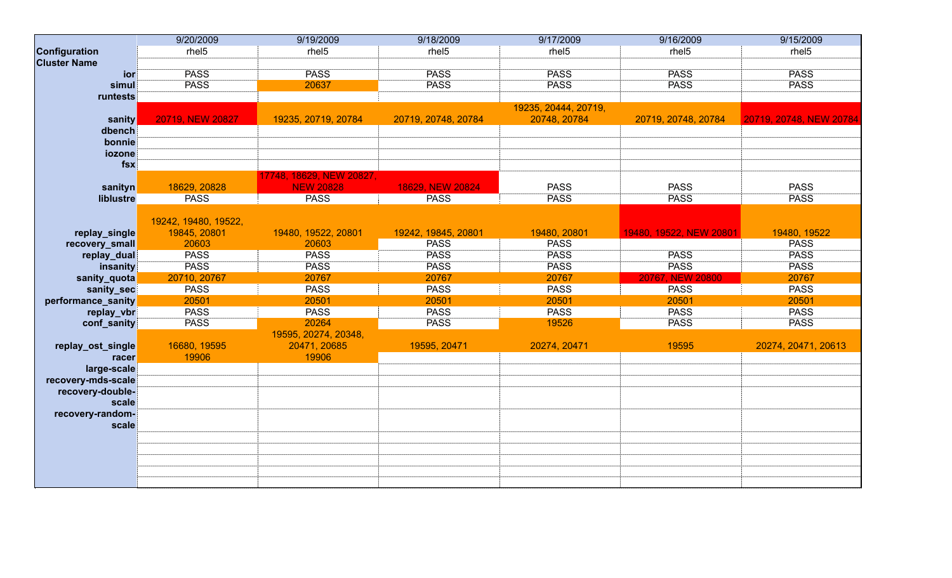|                     | 9/20/2009            | 9/19/2009                | 9/18/2009           | 9/17/2009            | 9/16/2009               | 9/15/2009               |
|---------------------|----------------------|--------------------------|---------------------|----------------------|-------------------------|-------------------------|
| Configuration       | rhel <sub>5</sub>    | rhel <sub>5</sub>        | rhel <sub>5</sub>   | rhel <sub>5</sub>    | rhel <sub>5</sub>       | rhel <sub>5</sub>       |
| <b>Cluster Name</b> |                      |                          |                     |                      |                         |                         |
| ior                 | <b>PASS</b>          | <b>PASS</b>              | <b>PASS</b>         | <b>PASS</b>          | <b>PASS</b>             | <b>PASS</b>             |
| simul               | <b>PASS</b>          | 20637                    | <b>PASS</b>         | <b>PASS</b>          | <b>PASS</b>             | <b>PASS</b>             |
| runtests            |                      |                          |                     |                      |                         |                         |
|                     |                      |                          |                     | 19235, 20444, 20719, |                         |                         |
| sanity              | 20719, NEW 20827     | 19235, 20719, 20784      | 20719, 20748, 20784 | 20748, 20784         | 20719, 20748, 20784     | 20719, 20748, NEW 20784 |
| dbench              |                      |                          |                     |                      |                         |                         |
| bonnie              |                      |                          |                     |                      |                         |                         |
| iozone              |                      |                          |                     |                      |                         |                         |
| fsx                 |                      |                          |                     |                      |                         |                         |
|                     |                      | 17748, 18629, NEW 20827, |                     |                      |                         |                         |
| sanityn             | 18629, 20828         | <b>NEW 20828</b>         | 18629, NEW 20824    | <b>PASS</b>          | <b>PASS</b>             | <b>PASS</b>             |
| liblustre           | <b>PASS</b>          | <b>PASS</b>              | <b>PASS</b>         | <b>PASS</b>          | <b>PASS</b>             | <b>PASS</b>             |
|                     |                      |                          |                     |                      |                         |                         |
|                     | 19242, 19480, 19522, |                          |                     |                      |                         |                         |
| replay_single       | 19845, 20801         | 19480, 19522, 20801      | 19242, 19845, 20801 | 19480, 20801         | 19480, 19522, NEW 20801 | 19480, 19522            |
| recovery_small      | 20603                | 20603                    | <b>PASS</b>         | <b>PASS</b>          |                         | <b>PASS</b>             |
| replay_dual         | <b>PASS</b>          | <b>PASS</b>              | <b>PASS</b>         | <b>PASS</b>          | <b>PASS</b>             | <b>PASS</b>             |
| insanity            | <b>PASS</b>          | <b>PASS</b>              | <b>PASS</b>         | <b>PASS</b>          | <b>PASS</b>             | <b>PASS</b>             |
| sanity_quota        | 20710, 20767         | 20767                    | 20767               | 20767                | 20767, NEW 20800        | 20767                   |
| sanity_sec          | <b>PASS</b>          | <b>PASS</b>              | <b>PASS</b>         | <b>PASS</b>          | <b>PASS</b>             | <b>PASS</b>             |
| performance_sanity  | 20501                | 20501                    | 20501               | 20501                | 20501                   | 20501                   |
| replay_vbr          | <b>PASS</b>          | <b>PASS</b>              | <b>PASS</b>         | <b>PASS</b>          | <b>PASS</b>             | <b>PASS</b>             |
| conf_sanity         | <b>PASS</b>          | 20264                    | <b>PASS</b>         | 19526                | <b>PASS</b>             | <b>PASS</b>             |
|                     |                      | 19595, 20274, 20348,     |                     |                      |                         |                         |
| replay_ost_single   | 16680, 19595         | 20471, 20685             | 19595, 20471        | 20274, 20471         | 19595                   | 20274, 20471, 20613     |
| racer               | 19906                | 19906                    |                     |                      |                         |                         |
| large-scale         |                      |                          |                     |                      |                         |                         |
| recovery-mds-scale  |                      |                          |                     |                      |                         |                         |
| recovery-double-    |                      |                          |                     |                      |                         |                         |
| scale               |                      |                          |                     |                      |                         |                         |
| recovery-random-    |                      |                          |                     |                      |                         |                         |
| scale               |                      |                          |                     |                      |                         |                         |
|                     |                      |                          |                     |                      |                         |                         |
|                     |                      |                          |                     |                      |                         |                         |
|                     |                      |                          |                     |                      |                         |                         |
|                     |                      |                          |                     |                      |                         |                         |
|                     |                      |                          |                     |                      |                         |                         |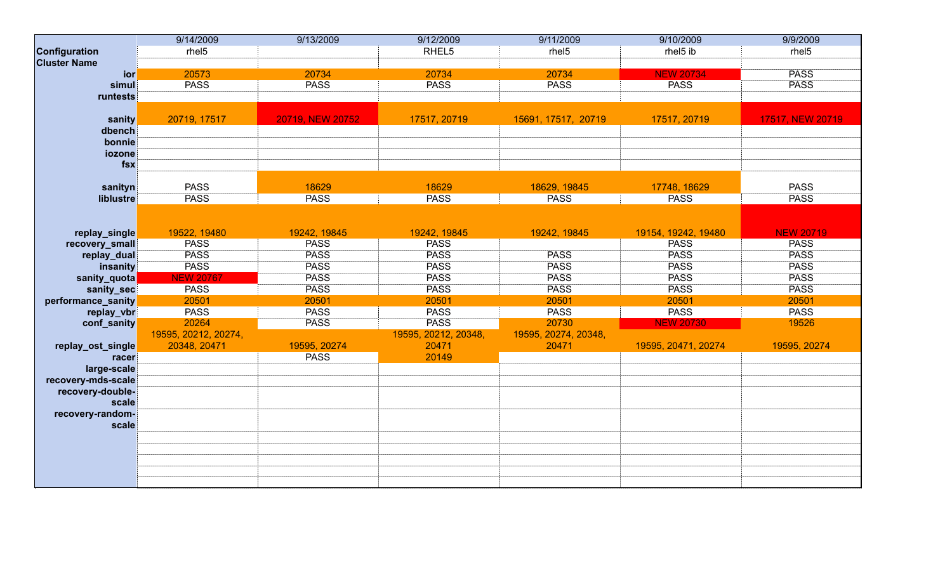|                     | 9/14/2009            | 9/13/2009        | 9/12/2009            | 9/11/2009            | 9/10/2009           | 9/9/2009          |
|---------------------|----------------------|------------------|----------------------|----------------------|---------------------|-------------------|
| Configuration       | rhel <sub>5</sub>    |                  | RHEL5                | rhel <sub>5</sub>    | rhel5 ib            | rhel <sub>5</sub> |
| <b>Cluster Name</b> |                      |                  |                      |                      |                     |                   |
| ior                 | 20573                | 20734            | 20734                | 20734                | <b>NEW 20734</b>    | <b>PASS</b>       |
| simul               | <b>PASS</b>          | <b>PASS</b>      | <b>PASS</b>          | <b>PASS</b>          | <b>PASS</b>         | <b>PASS</b>       |
| runtests            |                      |                  |                      |                      |                     |                   |
|                     |                      |                  |                      |                      |                     |                   |
| sanity              | 20719, 17517         | 20719, NEW 20752 | 17517, 20719         | 15691, 17517, 20719  | 17517, 20719        | 17517, NEW 20719  |
| dbench              |                      |                  |                      |                      |                     |                   |
| bonnie              |                      |                  |                      |                      |                     |                   |
| iozone              |                      |                  |                      |                      |                     |                   |
| $f$ sx              |                      |                  |                      |                      |                     |                   |
|                     |                      |                  |                      |                      |                     |                   |
| sanityn             | <b>PASS</b>          | 18629            | 18629                | 18629, 19845         | 17748, 18629        | <b>PASS</b>       |
| liblustre           | <b>PASS</b>          | <b>PASS</b>      | <b>PASS</b>          | <b>PASS</b>          | <b>PASS</b>         | <b>PASS</b>       |
|                     |                      |                  |                      |                      |                     |                   |
|                     |                      |                  |                      |                      |                     |                   |
| replay_single       | 19522, 19480         | 19242, 19845     | 19242, 19845         | 19242, 19845         | 19154, 19242, 19480 | <b>NEW 20719</b>  |
| recovery_small      | <b>PASS</b>          | <b>PASS</b>      | <b>PASS</b>          |                      | <b>PASS</b>         | <b>PASS</b>       |
| replay_dual         | <b>PASS</b>          | <b>PASS</b>      | <b>PASS</b>          | <b>PASS</b>          | <b>PASS</b>         | <b>PASS</b>       |
| insanity            | <b>PASS</b>          | <b>PASS</b>      | <b>PASS</b>          | <b>PASS</b>          | <b>PASS</b>         | <b>PASS</b>       |
| sanity_quota        | <b>NEW 20767</b>     | <b>PASS</b>      | <b>PASS</b>          | <b>PASS</b>          | <b>PASS</b>         | <b>PASS</b>       |
| sanity_sec          | <b>PASS</b>          | <b>PASS</b>      | <b>PASS</b>          | <b>PASS</b>          | <b>PASS</b>         | <b>PASS</b>       |
| performance_sanity  | 20501                | 20501            | 20501                | 20501                | 20501               | 20501             |
| replay_vbr          | <b>PASS</b>          | <b>PASS</b>      | <b>PASS</b>          | <b>PASS</b>          | <b>PASS</b>         | <b>PASS</b>       |
| conf_sanity         | 20264                | <b>PASS</b>      | <b>PASS</b>          | 20730                | <b>NEW 20730</b>    | 19526             |
|                     | 19595, 20212, 20274, |                  | 19595, 20212, 20348, | 19595, 20274, 20348, |                     |                   |
| replay_ost_single   | 20348, 20471         | 19595, 20274     | 20471                | 20471                | 19595, 20471, 20274 | 19595, 20274      |
| racer               |                      | <b>PASS</b>      | 20149                |                      |                     |                   |
| large-scale         |                      |                  |                      |                      |                     |                   |
| recovery-mds-scale  |                      |                  |                      |                      |                     |                   |
| recovery-double-    |                      |                  |                      |                      |                     |                   |
| scale               |                      |                  |                      |                      |                     |                   |
| recovery-random-    |                      |                  |                      |                      |                     |                   |
| scale               |                      |                  |                      |                      |                     |                   |
|                     |                      |                  |                      |                      |                     |                   |
|                     |                      |                  |                      |                      |                     |                   |
|                     |                      |                  |                      |                      |                     |                   |
|                     |                      |                  |                      |                      |                     |                   |
|                     |                      |                  |                      |                      |                     |                   |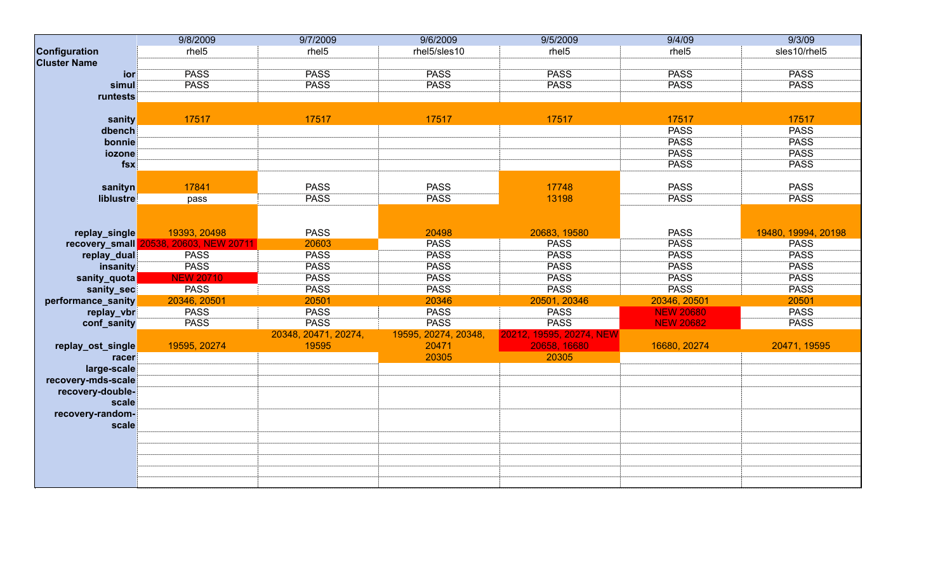|                     | 9/8/2009                | 9/7/2009             | 9/6/2009             | 9/5/2009                 | 9/4/09            | 9/3/09              |
|---------------------|-------------------------|----------------------|----------------------|--------------------------|-------------------|---------------------|
| Configuration       | rhel <sub>5</sub>       | rhel <sub>5</sub>    | rhel5/sles10         | rhel <sub>5</sub>        | rhel <sub>5</sub> | sles10/rhel5        |
| <b>Cluster Name</b> |                         |                      |                      |                          |                   |                     |
| ior                 | <b>PASS</b>             | <b>PASS</b>          | <b>PASS</b>          | <b>PASS</b>              | <b>PASS</b>       | <b>PASS</b>         |
| simul               | <b>PASS</b>             | <b>PASS</b>          | <b>PASS</b>          | <b>PASS</b>              | <b>PASS</b>       | <b>PASS</b>         |
| runtests            |                         |                      |                      |                          |                   |                     |
|                     |                         |                      |                      |                          |                   |                     |
| sanity              | 17517                   | 17517                | 17517                | 17517                    | 17517             | 17517               |
| dbench              |                         |                      |                      |                          | <b>PASS</b>       | <b>PASS</b>         |
| bonnie              |                         |                      |                      |                          | <b>PASS</b>       | <b>PASS</b>         |
| iozone              |                         |                      |                      |                          | <b>PASS</b>       | <b>PASS</b>         |
| $f$ sx              |                         |                      |                      |                          | <b>PASS</b>       | <b>PASS</b>         |
|                     |                         |                      |                      |                          |                   |                     |
| sanityn             | 17841                   | <b>PASS</b>          | <b>PASS</b>          | 17748                    | <b>PASS</b>       | <b>PASS</b>         |
| liblustre           | pass                    | <b>PASS</b>          | <b>PASS</b>          | 13198                    | <b>PASS</b>       | <b>PASS</b>         |
|                     |                         |                      |                      |                          |                   |                     |
|                     |                         |                      |                      |                          |                   |                     |
| replay_single       | 19393, 20498            | <b>PASS</b>          | 20498                | 20683, 19580             | <b>PASS</b>       | 19480, 19994, 20198 |
| recovery_small      | 20538, 20603, NEW 20711 | 20603                | <b>PASS</b>          | <b>PASS</b>              | <b>PASS</b>       | <b>PASS</b>         |
| replay_dual         | <b>PASS</b>             | <b>PASS</b>          | <b>PASS</b>          | <b>PASS</b>              | <b>PASS</b>       | <b>PASS</b>         |
| insanity            | <b>PASS</b>             | <b>PASS</b>          | <b>PASS</b>          | <b>PASS</b>              | <b>PASS</b>       | <b>PASS</b>         |
| sanity_quota        | <b>NEW 20710</b>        | <b>PASS</b>          | <b>PASS</b>          | <b>PASS</b>              | <b>PASS</b>       | <b>PASS</b>         |
| sanity_sec          | <b>PASS</b>             | <b>PASS</b>          | <b>PASS</b>          | <b>PASS</b>              | <b>PASS</b>       | <b>PASS</b>         |
| performance_sanity  | 20346, 20501            | 20501                | 20346                | 20501, 20346             | 20346, 20501      | 20501               |
| replay_vbr          | <b>PASS</b>             | <b>PASS</b>          | <b>PASS</b>          | <b>PASS</b>              | <b>NEW 20680</b>  | <b>PASS</b>         |
| conf_sanity         | <b>PASS</b>             | <b>PASS</b>          | <b>PASS</b>          | <b>PASS</b>              | <b>NEW 20682</b>  | <b>PASS</b>         |
|                     |                         | 20348, 20471, 20274, | 19595, 20274, 20348, | 20212, 19595, 20274, NEW |                   |                     |
| replay_ost_single   | 19595, 20274            | 19595                | 20471                | 20658, 16680             | 16680, 20274      | 20471, 19595        |
| racer               |                         |                      | 20305                | 20305                    |                   |                     |
| large-scale         |                         |                      |                      |                          |                   |                     |
| recovery-mds-scale  |                         |                      |                      |                          |                   |                     |
| recovery-double-    |                         |                      |                      |                          |                   |                     |
| scale               |                         |                      |                      |                          |                   |                     |
| recovery-random-    |                         |                      |                      |                          |                   |                     |
| scale               |                         |                      |                      |                          |                   |                     |
|                     |                         |                      |                      |                          |                   |                     |
|                     |                         |                      |                      |                          |                   |                     |
|                     |                         |                      |                      |                          |                   |                     |
|                     |                         |                      |                      |                          |                   |                     |
|                     |                         |                      |                      |                          |                   |                     |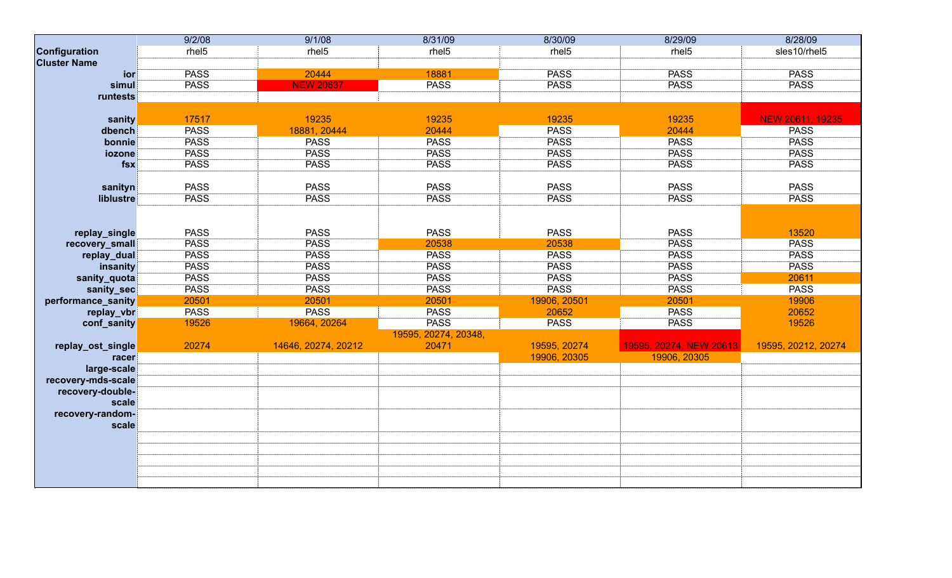|                     | 9/2/08            | 9/1/08              | 8/31/09              | 8/30/09           | 8/29/09                 | 8/28/09             |
|---------------------|-------------------|---------------------|----------------------|-------------------|-------------------------|---------------------|
| Configuration       | rhel <sub>5</sub> | rhel <sub>5</sub>   | rhel <sub>5</sub>    | rhel <sub>5</sub> | rhel <sub>5</sub>       | sles10/rhel5        |
| <b>Cluster Name</b> |                   |                     |                      |                   |                         |                     |
| <b>ior</b>          | <b>PASS</b>       | 20444               | 18881                | <b>PASS</b>       | <b>PASS</b>             | <b>PASS</b>         |
| simul               | <b>PASS</b>       | <b>NEW 20637</b>    | <b>PASS</b>          | <b>PASS</b>       | <b>PASS</b>             | <b>PASS</b>         |
| runtests            |                   |                     |                      |                   |                         |                     |
|                     |                   |                     |                      |                   |                         |                     |
| sanity              | 17517             | 19235               | 19235                | 19235             | 19235                   | NEW 20611, 19235    |
| dbench              | <b>PASS</b>       | 18881, 20444        | 20444                | <b>PASS</b>       | 20444                   | <b>PASS</b>         |
| bonnie              | <b>PASS</b>       | <b>PASS</b>         | <b>PASS</b>          | <b>PASS</b>       | <b>PASS</b>             | <b>PASS</b>         |
| iozone              | <b>PASS</b>       | <b>PASS</b>         | <b>PASS</b>          | <b>PASS</b>       | <b>PASS</b>             | <b>PASS</b>         |
| $f$ sx              | <b>PASS</b>       | <b>PASS</b>         | <b>PASS</b>          | <b>PASS</b>       | <b>PASS</b>             | <b>PASS</b>         |
|                     |                   |                     |                      |                   |                         |                     |
| sanityn             | <b>PASS</b>       | <b>PASS</b>         | <b>PASS</b>          | <b>PASS</b>       | <b>PASS</b>             | <b>PASS</b>         |
| liblustre           | <b>PASS</b>       | <b>PASS</b>         | <b>PASS</b>          | <b>PASS</b>       | <b>PASS</b>             | <b>PASS</b>         |
|                     |                   |                     |                      |                   |                         |                     |
|                     |                   |                     |                      |                   |                         |                     |
| replay_single       | <b>PASS</b>       | <b>PASS</b>         | <b>PASS</b>          | <b>PASS</b>       | <b>PASS</b>             | 13520               |
| recovery_small      | <b>PASS</b>       | <b>PASS</b>         | 20538                | 20538             | <b>PASS</b>             | <b>PASS</b>         |
| replay_dual         | <b>PASS</b>       | <b>PASS</b>         | <b>PASS</b>          | <b>PASS</b>       | <b>PASS</b>             | <b>PASS</b>         |
| insanity            | <b>PASS</b>       | <b>PASS</b>         | <b>PASS</b>          | <b>PASS</b>       | <b>PASS</b>             | <b>PASS</b>         |
| sanity_quota        | <b>PASS</b>       | <b>PASS</b>         | <b>PASS</b>          | <b>PASS</b>       | <b>PASS</b>             | 20611               |
| sanity_sec          | <b>PASS</b>       | <b>PASS</b>         | <b>PASS</b>          | <b>PASS</b>       | <b>PASS</b>             | <b>PASS</b>         |
| performance_sanity  | 20501             | 20501               | 20501                | 19906, 20501      | 20501                   | 19906               |
| replay_vbr          | <b>PASS</b>       | <b>PASS</b>         | <b>PASS</b>          | 20652             | <b>PASS</b>             | 20652               |
| conf_sanity         | 19526             | 19664, 20264        | <b>PASS</b>          | <b>PASS</b>       | <b>PASS</b>             | 19526               |
|                     |                   |                     | 19595, 20274, 20348, |                   |                         |                     |
| replay_ost_single   | 20274             | 14646, 20274, 20212 | 20471                | 19595, 20274      | 19595, 20274, NEW 20613 | 19595, 20212, 20274 |
| racer               |                   |                     |                      | 19906, 20305      | 19906, 20305            |                     |
| large-scale         |                   |                     |                      |                   |                         |                     |
| recovery-mds-scale  |                   |                     |                      |                   |                         |                     |
| recovery-double-    |                   |                     |                      |                   |                         |                     |
| scale               |                   |                     |                      |                   |                         |                     |
| recovery-random-    |                   |                     |                      |                   |                         |                     |
| scale               |                   |                     |                      |                   |                         |                     |
|                     |                   |                     |                      |                   |                         |                     |
|                     |                   |                     |                      |                   |                         |                     |
|                     |                   |                     |                      |                   |                         |                     |
|                     |                   |                     |                      |                   |                         |                     |
|                     |                   |                     |                      |                   |                         |                     |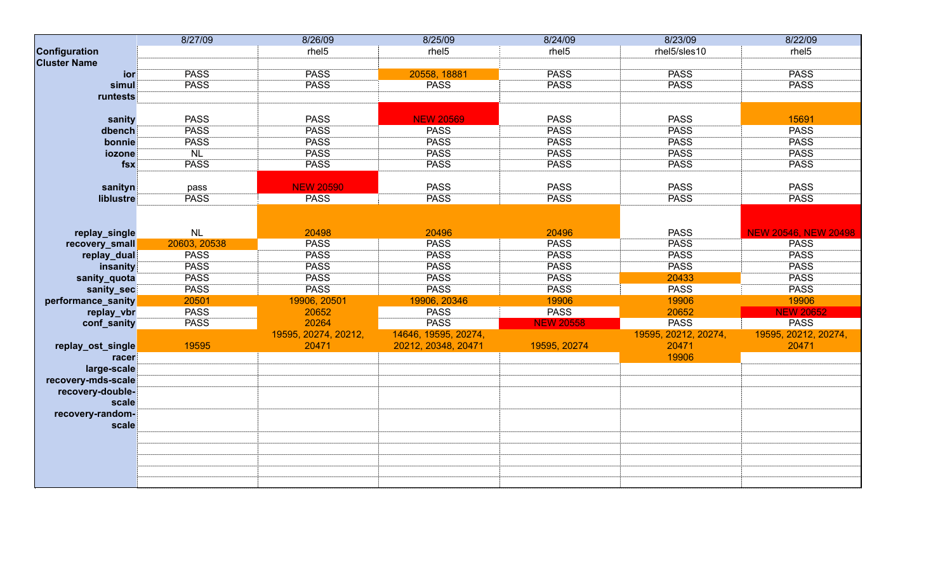|                     | 8/27/09      | 8/26/09              | 8/25/09              | 8/24/09           | 8/23/09              | 8/22/09                     |
|---------------------|--------------|----------------------|----------------------|-------------------|----------------------|-----------------------------|
| Configuration       |              | rhel <sub>5</sub>    | rhel <sub>5</sub>    | rhel <sub>5</sub> | rhel5/sles10         | rhel <sub>5</sub>           |
| <b>Cluster Name</b> |              |                      |                      |                   |                      |                             |
| ior                 | <b>PASS</b>  | <b>PASS</b>          | 20558, 18881         | <b>PASS</b>       | <b>PASS</b>          | <b>PASS</b>                 |
| simul               | <b>PASS</b>  | <b>PASS</b>          | <b>PASS</b>          | <b>PASS</b>       | <b>PASS</b>          | <b>PASS</b>                 |
| runtests            |              |                      |                      |                   |                      |                             |
|                     |              |                      |                      |                   |                      |                             |
| sanity              | <b>PASS</b>  | <b>PASS</b>          | <b>NEW 20569</b>     | <b>PASS</b>       | <b>PASS</b>          | 15691                       |
| dbench              | <b>PASS</b>  | <b>PASS</b>          | <b>PASS</b>          | <b>PASS</b>       | <b>PASS</b>          | <b>PASS</b>                 |
| bonnie              | <b>PASS</b>  | <b>PASS</b>          | <b>PASS</b>          | <b>PASS</b>       | <b>PASS</b>          | <b>PASS</b>                 |
| iozone              | NL           | <b>PASS</b>          | <b>PASS</b>          | <b>PASS</b>       | <b>PASS</b>          | <b>PASS</b>                 |
| $f$ sx              | <b>PASS</b>  | <b>PASS</b>          | <b>PASS</b>          | <b>PASS</b>       | <b>PASS</b>          | <b>PASS</b>                 |
|                     |              |                      |                      |                   |                      |                             |
| sanityn             | pass         | <b>NEW 20590</b>     | <b>PASS</b>          | <b>PASS</b>       | <b>PASS</b>          | <b>PASS</b>                 |
| liblustre           | <b>PASS</b>  | <b>PASS</b>          | <b>PASS</b>          | <b>PASS</b>       | <b>PASS</b>          | <b>PASS</b>                 |
|                     |              |                      |                      |                   |                      |                             |
|                     |              |                      |                      |                   |                      |                             |
| replay_single       | NL           | 20498                | 20496                | 20496             | <b>PASS</b>          | <b>NEW 20546, NEW 20498</b> |
| recovery_small      | 20603, 20538 | <b>PASS</b>          | <b>PASS</b>          | <b>PASS</b>       | <b>PASS</b>          | <b>PASS</b>                 |
| replay_dual         | <b>PASS</b>  | <b>PASS</b>          | <b>PASS</b>          | <b>PASS</b>       | <b>PASS</b>          | <b>PASS</b>                 |
| insanity            | <b>PASS</b>  | <b>PASS</b>          | <b>PASS</b>          | <b>PASS</b>       | <b>PASS</b>          | <b>PASS</b>                 |
| sanity_quota        | <b>PASS</b>  | <b>PASS</b>          | <b>PASS</b>          | <b>PASS</b>       | 20433                | <b>PASS</b>                 |
| sanity_sec          | <b>PASS</b>  | <b>PASS</b>          | <b>PASS</b>          | <b>PASS</b>       | <b>PASS</b>          | <b>PASS</b>                 |
| performance_sanity  | 20501        | 19906, 20501         | 19906, 20346         | 19906             | 19906                | 19906                       |
| replay_vbr          | <b>PASS</b>  | 20652                | <b>PASS</b>          | <b>PASS</b>       | 20652                | <b>NEW 20652</b>            |
| conf_sanity         | <b>PASS</b>  | 20264                | <b>PASS</b>          | <b>NEW 20558</b>  | <b>PASS</b>          | <b>PASS</b>                 |
|                     |              | 19595, 20274, 20212, | 14646, 19595, 20274, |                   | 19595, 20212, 20274, | 19595, 20212, 20274,        |
| replay_ost_single   | 19595        | 20471                | 20212, 20348, 20471  | 19595, 20274      | 20471                | 20471                       |
| racer               |              |                      |                      |                   | 19906                |                             |
| large-scale         |              |                      |                      |                   |                      |                             |
| recovery-mds-scale  |              |                      |                      |                   |                      |                             |
| recovery-double-    |              |                      |                      |                   |                      |                             |
| scale               |              |                      |                      |                   |                      |                             |
| recovery-random-    |              |                      |                      |                   |                      |                             |
| scale               |              |                      |                      |                   |                      |                             |
|                     |              |                      |                      |                   |                      |                             |
|                     |              |                      |                      |                   |                      |                             |
|                     |              |                      |                      |                   |                      |                             |
|                     |              |                      |                      |                   |                      |                             |
|                     |              |                      |                      |                   |                      |                             |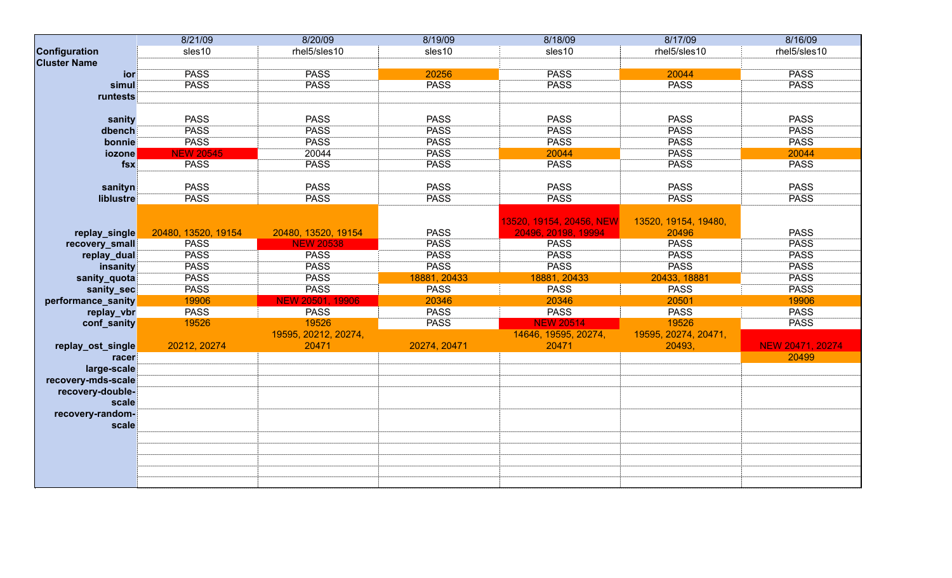|                     | 8/21/09             | 8/20/09              | 8/19/09      | 8/18/09                  | 8/17/09              | 8/16/09          |
|---------------------|---------------------|----------------------|--------------|--------------------------|----------------------|------------------|
| Configuration       | sles10              | rhel5/sles10         | sles10       | sles10                   | rhel5/sles10         | rhel5/sles10     |
| <b>Cluster Name</b> |                     |                      |              |                          |                      |                  |
| ior                 | <b>PASS</b>         | <b>PASS</b>          | 20256        | <b>PASS</b>              | 20044                | <b>PASS</b>      |
| simul               | <b>PASS</b>         | <b>PASS</b>          | <b>PASS</b>  | <b>PASS</b>              | <b>PASS</b>          | <b>PASS</b>      |
| runtests            |                     |                      |              |                          |                      |                  |
|                     |                     |                      |              |                          |                      |                  |
| sanity              | <b>PASS</b>         | <b>PASS</b>          | <b>PASS</b>  | <b>PASS</b>              | <b>PASS</b>          | <b>PASS</b>      |
| dbench              | <b>PASS</b>         | <b>PASS</b>          | <b>PASS</b>  | <b>PASS</b>              | <b>PASS</b>          | <b>PASS</b>      |
| bonnie              | <b>PASS</b>         | <b>PASS</b>          | <b>PASS</b>  | <b>PASS</b>              | <b>PASS</b>          | <b>PASS</b>      |
| iozone              | <b>NEW 20545</b>    | 20044                | <b>PASS</b>  | 20044                    | <b>PASS</b>          | 20044            |
| $f$ sx              | <b>PASS</b>         | <b>PASS</b>          | <b>PASS</b>  | <b>PASS</b>              | <b>PASS</b>          | <b>PASS</b>      |
|                     |                     |                      |              |                          |                      |                  |
| sanityn             | <b>PASS</b>         | <b>PASS</b>          | <b>PASS</b>  | <b>PASS</b>              | <b>PASS</b>          | <b>PASS</b>      |
| liblustre           | <b>PASS</b>         | <b>PASS</b>          | <b>PASS</b>  | <b>PASS</b>              | <b>PASS</b>          | <b>PASS</b>      |
|                     |                     |                      |              |                          |                      |                  |
|                     |                     |                      |              | 13520, 19154, 20456, NEW | 13520, 19154, 19480, |                  |
| replay_single       | 20480, 13520, 19154 | 20480, 13520, 19154  | <b>PASS</b>  | 20496, 20198, 19994      | 20496                | <b>PASS</b>      |
| recovery_small      | <b>PASS</b>         | <b>NEW 20538</b>     | <b>PASS</b>  | <b>PASS</b>              | <b>PASS</b>          | <b>PASS</b>      |
| replay_dual         | <b>PASS</b>         | <b>PASS</b>          | <b>PASS</b>  | <b>PASS</b>              | <b>PASS</b>          | <b>PASS</b>      |
| insanity            | <b>PASS</b>         | <b>PASS</b>          | <b>PASS</b>  | <b>PASS</b>              | <b>PASS</b>          | <b>PASS</b>      |
| sanity_quota        | <b>PASS</b>         | <b>PASS</b>          | 18881, 20433 | 18881, 20433             | 20433, 18881         | <b>PASS</b>      |
| sanity_sec          | <b>PASS</b>         | <b>PASS</b>          | <b>PASS</b>  | <b>PASS</b>              | <b>PASS</b>          | <b>PASS</b>      |
| performance_sanity  | 19906               | NEW 20501, 19906     | 20346        | 20346                    | 20501                | 19906            |
| replay_vbr          | <b>PASS</b>         | <b>PASS</b>          | <b>PASS</b>  | <b>PASS</b>              | <b>PASS</b>          | <b>PASS</b>      |
| conf_sanity         | 19526               | 19526                | <b>PASS</b>  | <b>NEW 20514</b>         | 19526                | <b>PASS</b>      |
|                     |                     | 19595, 20212, 20274, |              | 14646, 19595, 20274,     | 19595, 20274, 20471, |                  |
| replay_ost_single   | 20212, 20274        | 20471                | 20274, 20471 | 20471                    | 20493,               | NEW 20471, 20274 |
| racer               |                     |                      |              |                          |                      | 20499            |
| large-scale         |                     |                      |              |                          |                      |                  |
| recovery-mds-scale  |                     |                      |              |                          |                      |                  |
| recovery-double-    |                     |                      |              |                          |                      |                  |
| scale               |                     |                      |              |                          |                      |                  |
| recovery-random-    |                     |                      |              |                          |                      |                  |
| scale               |                     |                      |              |                          |                      |                  |
|                     |                     |                      |              |                          |                      |                  |
|                     |                     |                      |              |                          |                      |                  |
|                     |                     |                      |              |                          |                      |                  |
|                     |                     |                      |              |                          |                      |                  |
|                     |                     |                      |              |                          |                      |                  |